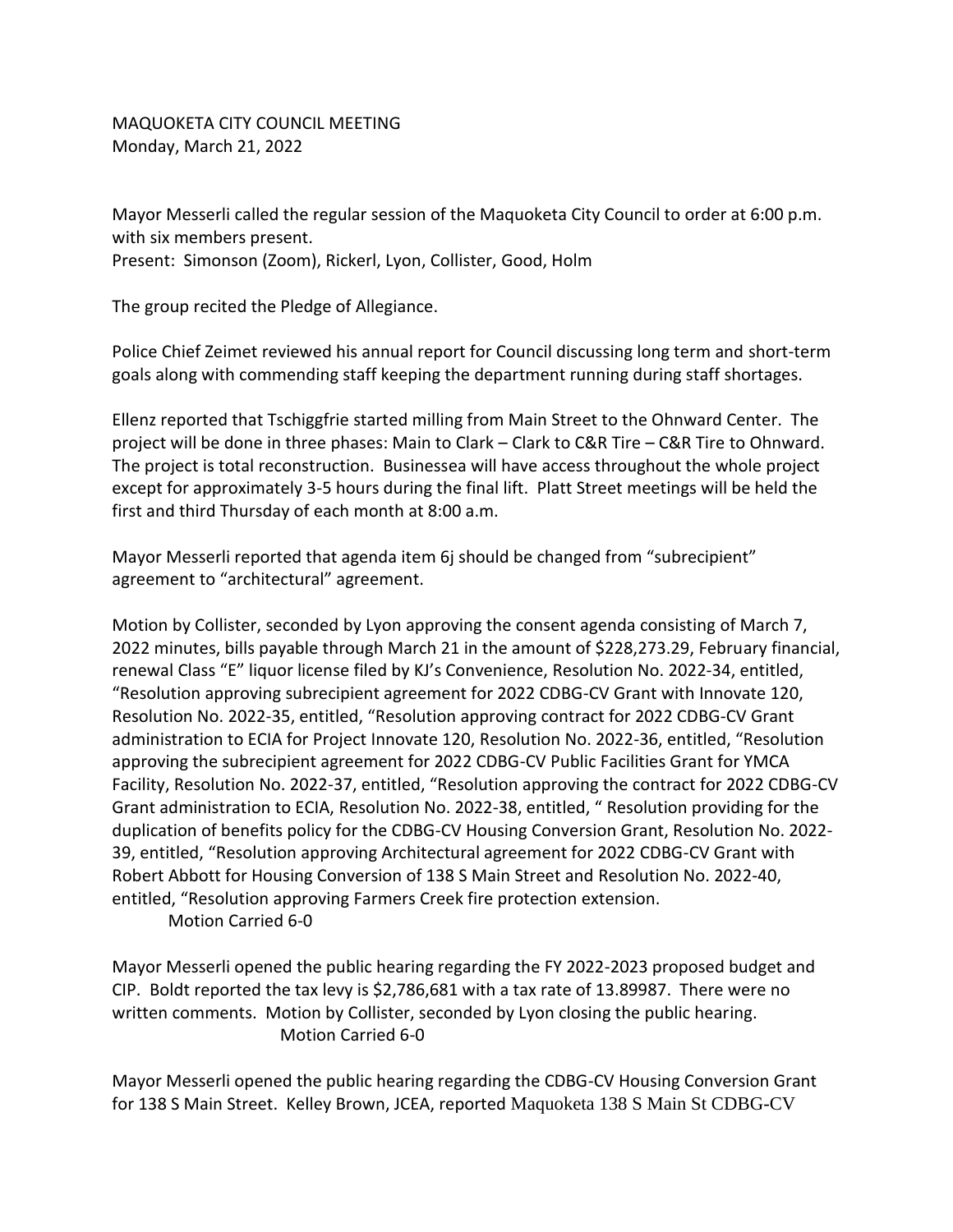MAQUOKETA CITY COUNCIL MEETING Monday, March 21, 2022

Mayor Messerli called the regular session of the Maquoketa City Council to order at 6:00 p.m. with six members present. Present: Simonson (Zoom), Rickerl, Lyon, Collister, Good, Holm

The group recited the Pledge of Allegiance.

Police Chief Zeimet reviewed his annual report for Council discussing long term and short-term goals along with commending staff keeping the department running during staff shortages.

Ellenz reported that Tschiggfrie started milling from Main Street to the Ohnward Center. The project will be done in three phases: Main to Clark – Clark to C&R Tire – C&R Tire to Ohnward. The project is total reconstruction. Businessea will have access throughout the whole project except for approximately 3-5 hours during the final lift. Platt Street meetings will be held the first and third Thursday of each month at 8:00 a.m.

Mayor Messerli reported that agenda item 6j should be changed from "subrecipient" agreement to "architectural" agreement.

Motion by Collister, seconded by Lyon approving the consent agenda consisting of March 7, 2022 minutes, bills payable through March 21 in the amount of \$228,273.29, February financial, renewal Class "E" liquor license filed by KJ's Convenience, Resolution No. 2022-34, entitled, "Resolution approving subrecipient agreement for 2022 CDBG-CV Grant with Innovate 120, Resolution No. 2022-35, entitled, "Resolution approving contract for 2022 CDBG-CV Grant administration to ECIA for Project Innovate 120, Resolution No. 2022-36, entitled, "Resolution approving the subrecipient agreement for 2022 CDBG-CV Public Facilities Grant for YMCA Facility, Resolution No. 2022-37, entitled, "Resolution approving the contract for 2022 CDBG-CV Grant administration to ECIA, Resolution No. 2022-38, entitled, " Resolution providing for the duplication of benefits policy for the CDBG-CV Housing Conversion Grant, Resolution No. 2022- 39, entitled, "Resolution approving Architectural agreement for 2022 CDBG-CV Grant with Robert Abbott for Housing Conversion of 138 S Main Street and Resolution No. 2022-40, entitled, "Resolution approving Farmers Creek fire protection extension.

Motion Carried 6-0

Mayor Messerli opened the public hearing regarding the FY 2022-2023 proposed budget and CIP. Boldt reported the tax levy is \$2,786,681 with a tax rate of 13.89987. There were no written comments. Motion by Collister, seconded by Lyon closing the public hearing. Motion Carried 6-0

Mayor Messerli opened the public hearing regarding the CDBG-CV Housing Conversion Grant for 138 S Main Street. Kelley Brown, JCEA, reported Maquoketa 138 S Main St CDBG-CV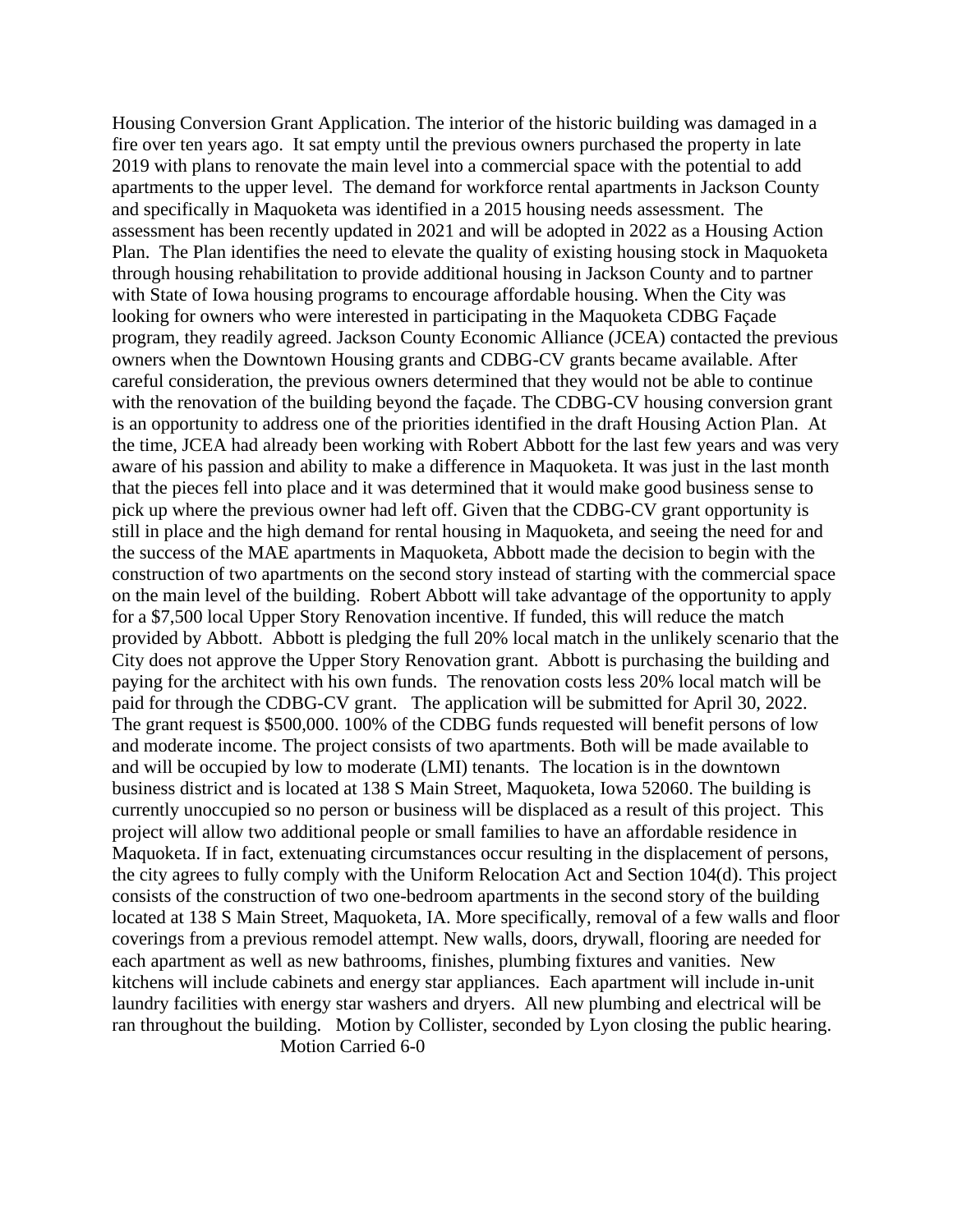Housing Conversion Grant Application. The interior of the historic building was damaged in a fire over ten years ago. It sat empty until the previous owners purchased the property in late 2019 with plans to renovate the main level into a commercial space with the potential to add apartments to the upper level. The demand for workforce rental apartments in Jackson County and specifically in Maquoketa was identified in a 2015 housing needs assessment. The assessment has been recently updated in 2021 and will be adopted in 2022 as a Housing Action Plan. The Plan identifies the need to elevate the quality of existing housing stock in Maquoketa through housing rehabilitation to provide additional housing in Jackson County and to partner with State of Iowa housing programs to encourage affordable housing. When the City was looking for owners who were interested in participating in the Maquoketa CDBG Façade program, they readily agreed. Jackson County Economic Alliance (JCEA) contacted the previous owners when the Downtown Housing grants and CDBG-CV grants became available. After careful consideration, the previous owners determined that they would not be able to continue with the renovation of the building beyond the façade. The CDBG-CV housing conversion grant is an opportunity to address one of the priorities identified in the draft Housing Action Plan. At the time, JCEA had already been working with Robert Abbott for the last few years and was very aware of his passion and ability to make a difference in Maquoketa. It was just in the last month that the pieces fell into place and it was determined that it would make good business sense to pick up where the previous owner had left off. Given that the CDBG-CV grant opportunity is still in place and the high demand for rental housing in Maquoketa, and seeing the need for and the success of the MAE apartments in Maquoketa, Abbott made the decision to begin with the construction of two apartments on the second story instead of starting with the commercial space on the main level of the building. Robert Abbott will take advantage of the opportunity to apply for a \$7,500 local Upper Story Renovation incentive. If funded, this will reduce the match provided by Abbott. Abbott is pledging the full 20% local match in the unlikely scenario that the City does not approve the Upper Story Renovation grant. Abbott is purchasing the building and paying for the architect with his own funds. The renovation costs less 20% local match will be paid for through the CDBG-CV grant. The application will be submitted for April 30, 2022. The grant request is \$500,000. 100% of the CDBG funds requested will benefit persons of low and moderate income. The project consists of two apartments. Both will be made available to and will be occupied by low to moderate (LMI) tenants. The location is in the downtown business district and is located at 138 S Main Street, Maquoketa, Iowa 52060. The building is currently unoccupied so no person or business will be displaced as a result of this project. This project will allow two additional people or small families to have an affordable residence in Maquoketa. If in fact, extenuating circumstances occur resulting in the displacement of persons, the city agrees to fully comply with the Uniform Relocation Act and Section 104(d). This project consists of the construction of two one-bedroom apartments in the second story of the building located at 138 S Main Street, Maquoketa, IA. More specifically, removal of a few walls and floor coverings from a previous remodel attempt. New walls, doors, drywall, flooring are needed for each apartment as well as new bathrooms, finishes, plumbing fixtures and vanities. New kitchens will include cabinets and energy star appliances. Each apartment will include in-unit laundry facilities with energy star washers and dryers. All new plumbing and electrical will be ran throughout the building. Motion by Collister, seconded by Lyon closing the public hearing. Motion Carried 6-0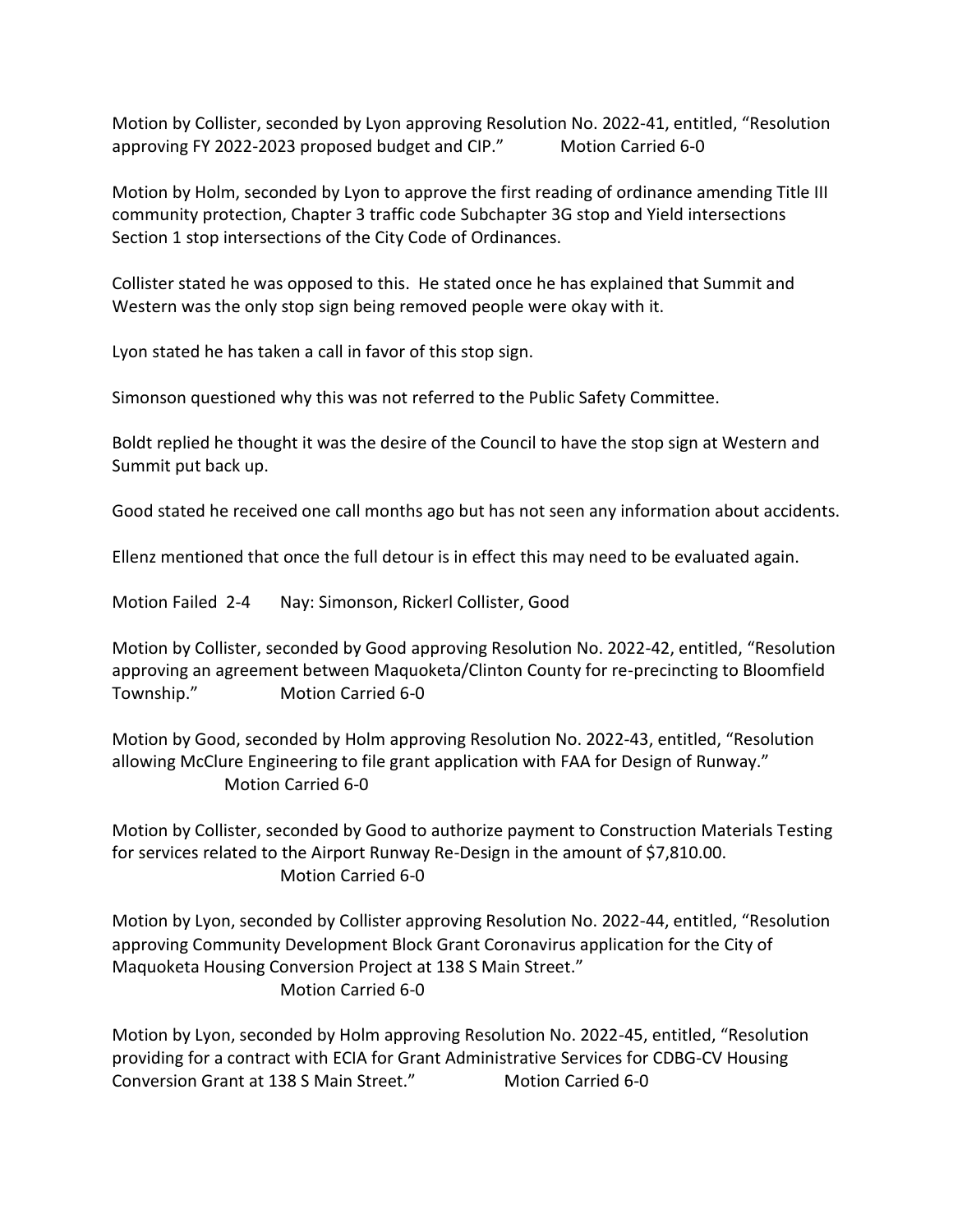Motion by Collister, seconded by Lyon approving Resolution No. 2022-41, entitled, "Resolution approving FY 2022-2023 proposed budget and CIP." Motion Carried 6-0

Motion by Holm, seconded by Lyon to approve the first reading of ordinance amending Title III community protection, Chapter 3 traffic code Subchapter 3G stop and Yield intersections Section 1 stop intersections of the City Code of Ordinances.

Collister stated he was opposed to this. He stated once he has explained that Summit and Western was the only stop sign being removed people were okay with it.

Lyon stated he has taken a call in favor of this stop sign.

Simonson questioned why this was not referred to the Public Safety Committee.

Boldt replied he thought it was the desire of the Council to have the stop sign at Western and Summit put back up.

Good stated he received one call months ago but has not seen any information about accidents.

Ellenz mentioned that once the full detour is in effect this may need to be evaluated again.

Motion Failed 2-4 Nay: Simonson, Rickerl Collister, Good

Motion by Collister, seconded by Good approving Resolution No. 2022-42, entitled, "Resolution approving an agreement between Maquoketa/Clinton County for re-precincting to Bloomfield Township." Motion Carried 6-0

Motion by Good, seconded by Holm approving Resolution No. 2022-43, entitled, "Resolution allowing McClure Engineering to file grant application with FAA for Design of Runway." Motion Carried 6-0

Motion by Collister, seconded by Good to authorize payment to Construction Materials Testing for services related to the Airport Runway Re-Design in the amount of \$7,810.00. Motion Carried 6-0

Motion by Lyon, seconded by Collister approving Resolution No. 2022-44, entitled, "Resolution approving Community Development Block Grant Coronavirus application for the City of Maquoketa Housing Conversion Project at 138 S Main Street." Motion Carried 6-0

Motion by Lyon, seconded by Holm approving Resolution No. 2022-45, entitled, "Resolution providing for a contract with ECIA for Grant Administrative Services for CDBG-CV Housing Conversion Grant at 138 S Main Street." Motion Carried 6-0